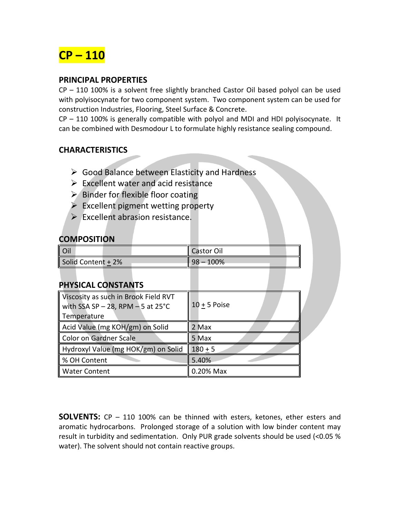

### **PRINCIPAL PROPERTIES**

CP – 110 100% is a solvent free slightly branched Castor Oil based polyol can be used with polyisocynate for two component system. Two component system can be used for construction Industries, Flooring, Steel Surface & Concrete.

CP – 110 100% is generally compatible with polyol and MDI and HDI polyisocynate. It can be combined with Desmodour L to formulate highly resistance sealing compound.

## **CHARACTERISTICS**

- Good Balance between Elasticity and Hardness
- $\triangleright$  Excellent water and acid resistance
- $\triangleright$  Binder for flexible floor coating
- $\triangleright$  Excellent pigment wetting property
- $\triangleright$  Excellent abrasion resistance.

#### **COMPOSITION**

| Oil                | Castor Oil  |
|--------------------|-------------|
| Solid Content + 2% | $98 - 100%$ |

#### **PHYSICAL CONSTANTS**

| Viscosity as such in Brook Field RVT<br>with SSA SP $-$ 28, RPM $-$ 5 at 25°C<br>Temperature | $10 + 5$ Poise |
|----------------------------------------------------------------------------------------------|----------------|
| Acid Value (mg KOH/gm) on Solid                                                              | 2 Max          |
| <b>Color on Gardner Scale</b>                                                                | 5 Max          |
| Hydroxyl Value (mg HOK/gm) on Solid                                                          | $180 + 5$      |
| % OH Content                                                                                 | 5.40%          |
| <b>Water Content</b>                                                                         | 0.20% Max      |

**SOLVENTS:** CP – 110 100% can be thinned with esters, ketones, ether esters and aromatic hydrocarbons. Prolonged storage of a solution with low binder content may result in turbidity and sedimentation. Only PUR grade solvents should be used (<0.05 % water). The solvent should not contain reactive groups.